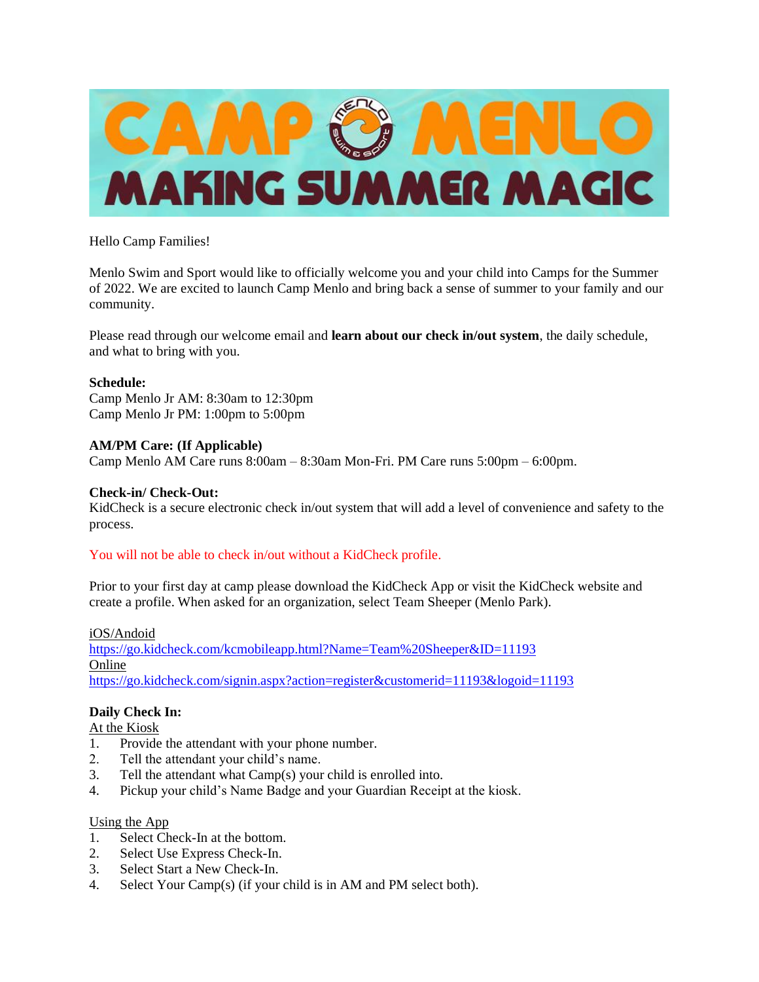

## Hello Camp Families!

Menlo Swim and Sport would like to officially welcome you and your child into Camps for the Summer of 2022. We are excited to launch Camp Menlo and bring back a sense of summer to your family and our community.

Please read through our welcome email and **learn about our check in/out system**, the daily schedule, and what to bring with you.

## **Schedule:**

Camp Menlo Jr AM: 8:30am to 12:30pm Camp Menlo Jr PM: 1:00pm to 5:00pm

## **AM/PM Care: (If Applicable)**

Camp Menlo AM Care runs 8:00am – 8:30am Mon-Fri. PM Care runs 5:00pm – 6:00pm.

## **Check-in/ Check-Out:**

KidCheck is a secure electronic check in/out system that will add a level of convenience and safety to the process.

## You will not be able to check in/out without a KidCheck profile.

Prior to your first day at camp please download the KidCheck App or visit the KidCheck website and create a profile. When asked for an organization, select Team Sheeper (Menlo Park).

## iOS/Andoid

<https://go.kidcheck.com/kcmobileapp.html?Name=Team%20Sheeper&ID=11193> Online <https://go.kidcheck.com/signin.aspx?action=register&customerid=11193&logoid=11193>

# **Daily Check In:**

At the Kiosk

- 1. Provide the attendant with your phone number.
- 2. Tell the attendant your child's name.
- 3. Tell the attendant what Camp(s) your child is enrolled into.
- 4. Pickup your child's Name Badge and your Guardian Receipt at the kiosk.

## Using the App

- 1. Select Check-In at the bottom.
- 2. Select Use Express Check-In.
- 3. Select Start a New Check-In.
- 4. Select Your Camp(s) (if your child is in AM and PM select both).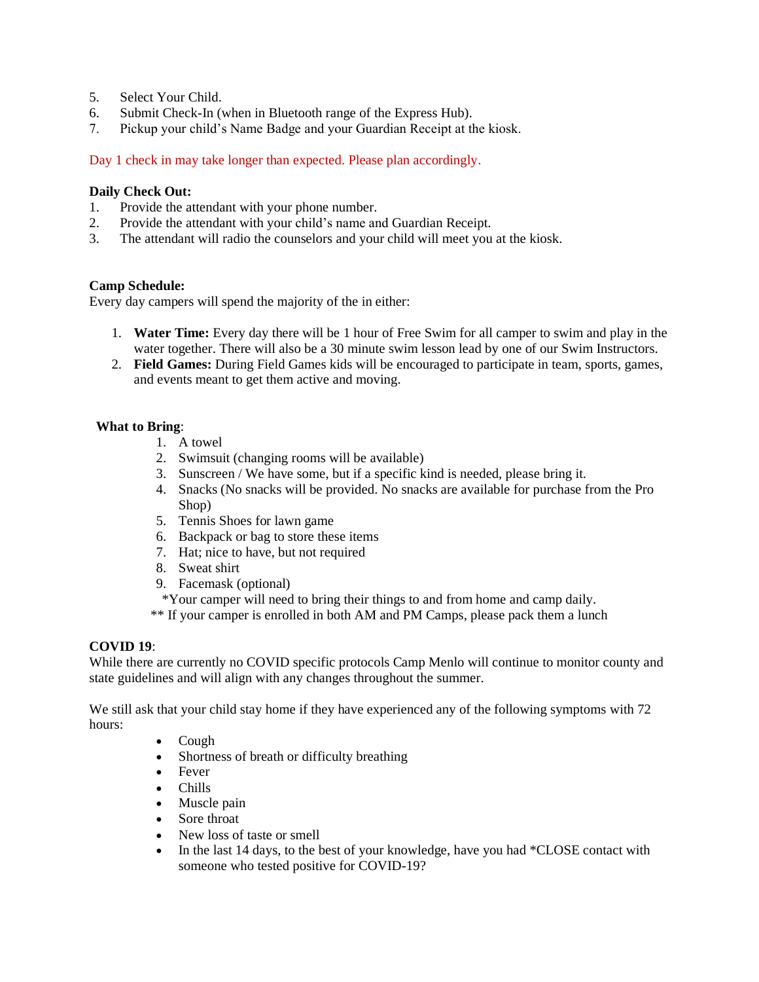- 5. Select Your Child.
- 6. Submit Check-In (when in Bluetooth range of the Express Hub).
- 7. Pickup your child's Name Badge and your Guardian Receipt at the kiosk.

Day 1 check in may take longer than expected. Please plan accordingly.

### **Daily Check Out:**

- 1. Provide the attendant with your phone number.
- 2. Provide the attendant with your child's name and Guardian Receipt.
- 3. The attendant will radio the counselors and your child will meet you at the kiosk.

### **Camp Schedule:**

Every day campers will spend the majority of the in either:

- 1. **Water Time:** Every day there will be 1 hour of Free Swim for all camper to swim and play in the water together. There will also be a 30 minute swim lesson lead by one of our Swim Instructors.
- 2. **Field Games:** During Field Games kids will be encouraged to participate in team, sports, games, and events meant to get them active and moving.

### **What to Bring**:

- 1. A towel
- 2. Swimsuit (changing rooms will be available)
- 3. Sunscreen / We have some, but if a specific kind is needed, please bring it.
- 4. Snacks (No snacks will be provided. No snacks are available for purchase from the Pro Shop)
- 5. Tennis Shoes for lawn game
- 6. Backpack or bag to store these items
- 7. Hat; nice to have, but not required
- 8. Sweat shirt
- 9. Facemask (optional)
- \*Your camper will need to bring their things to and from home and camp daily.
- \*\* If your camper is enrolled in both AM and PM Camps, please pack them a lunch

#### **COVID 19**:

While there are currently no COVID specific protocols Camp Menlo will continue to monitor county and state guidelines and will align with any changes throughout the summer.

We still ask that your child stay home if they have experienced any of the following symptoms with 72 hours:

- Cough
- Shortness of breath or difficulty breathing
- Fever
- Chills
- Muscle pain
- Sore throat
- New loss of taste or smell
- In the last 14 days, to the best of your knowledge, have you had \*CLOSE contact with someone who tested positive for COVID-19?